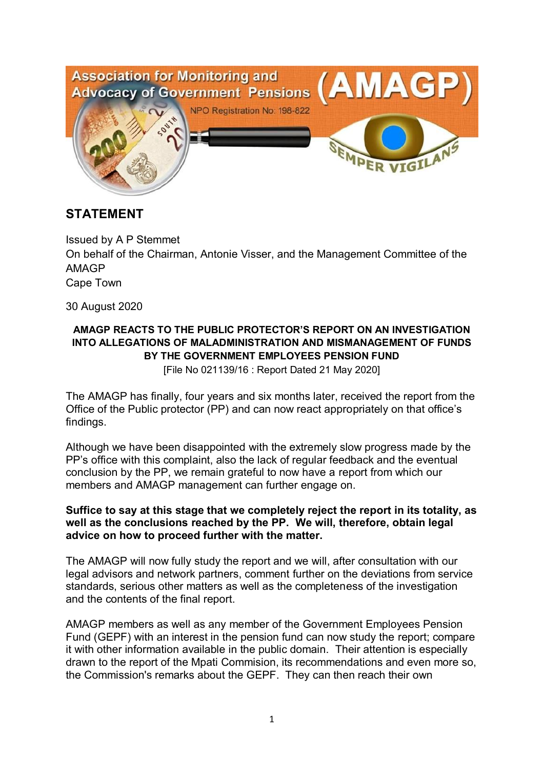

## **STATEMENT**

Issued by A P Stemmet On behalf of the Chairman, Antonie Visser, and the Management Committee of the AMAGP Cape Town

30 August 2020

## **AMAGP REACTS TO THE PUBLIC PROTECTOR'S REPORT ON AN INVESTIGATION INTO ALLEGATIONS OF MALADMINISTRATION AND MISMANAGEMENT OF FUNDS BY THE GOVERNMENT EMPLOYEES PENSION FUND**

[File No 021139/16 : Report Dated 21 May 2020]

The AMAGP has finally, four years and six months later, received the report from the Office of the Public protector (PP) and can now react appropriately on that office's findings.

Although we have been disappointed with the extremely slow progress made by the PP's office with this complaint, also the lack of regular feedback and the eventual conclusion by the PP, we remain grateful to now have a report from which our members and AMAGP management can further engage on.

### **Suffice to say at this stage that we completely reject the report in its totality, as well as the conclusions reached by the PP. We will, therefore, obtain legal advice on how to proceed further with the matter.**

The AMAGP will now fully study the report and we will, after consultation with our legal advisors and network partners, comment further on the deviations from service standards, serious other matters as well as the completeness of the investigation and the contents of the final report.

AMAGP members as well as any member of the Government Employees Pension Fund (GEPF) with an interest in the pension fund can now study the report; compare it with other information available in the public domain. Their attention is especially drawn to the report of the Mpati Commision, its recommendations and even more so, the Commission's remarks about the GEPF. They can then reach their own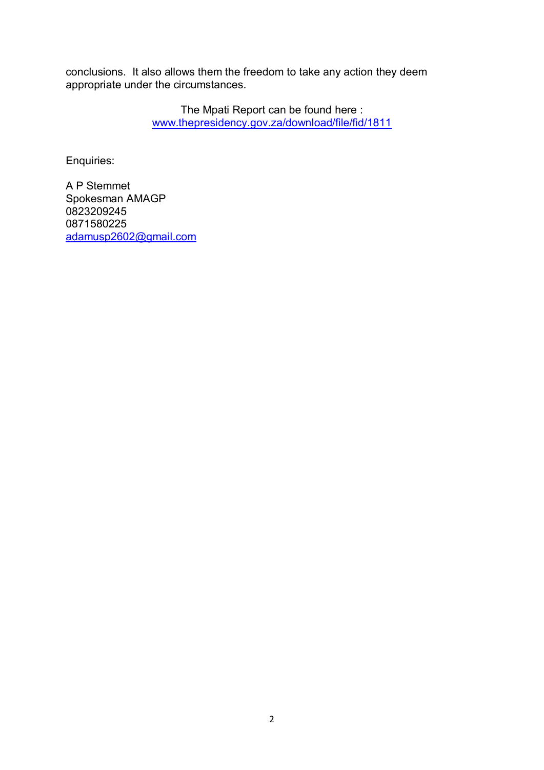conclusions. It also allows them the freedom to take any action they deem appropriate under the circumstances.

> The Mpati Report can be found here : www.thepresidency.gov.za/download/file/fid/1811

Enquiries:

A P Stemmet Spokesman AMAGP 0823209245 0871580225 adamusp2602@gmail.com